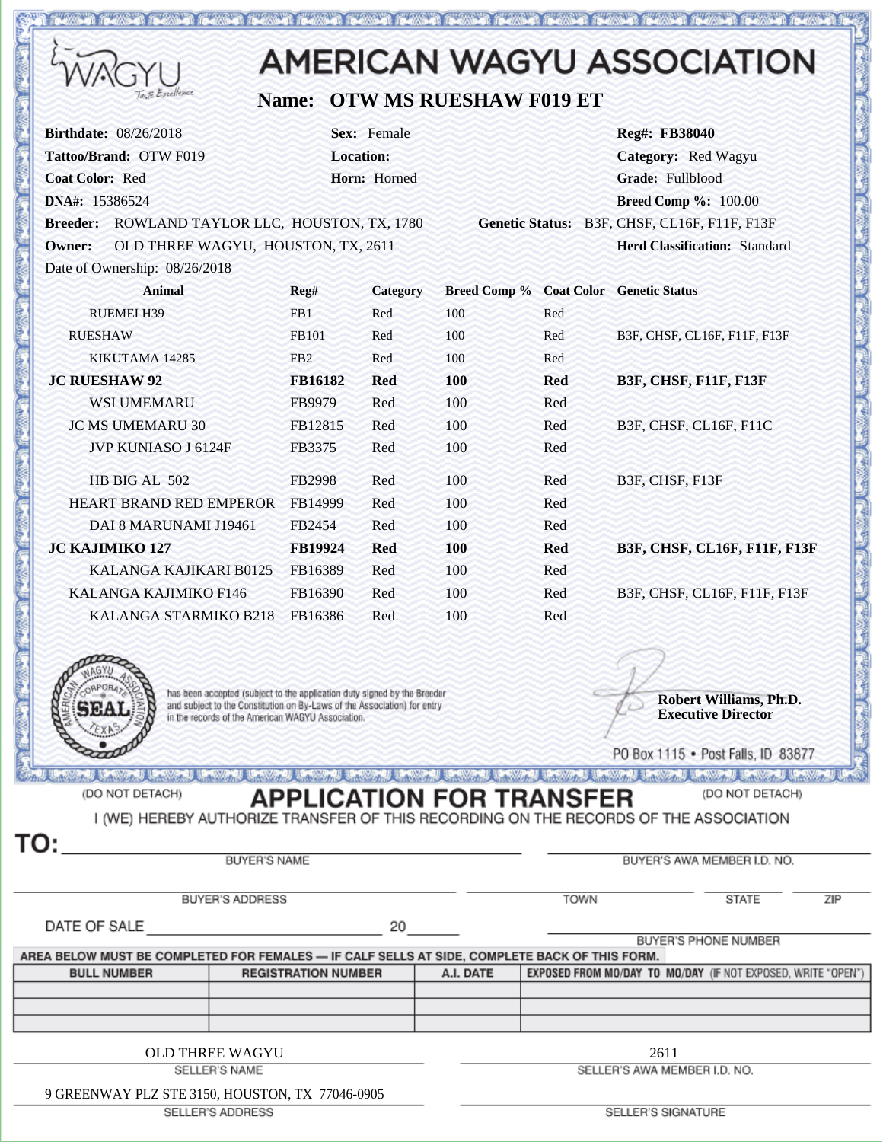|                                                                                                                                                                                                                                                                                                                                           |                            |                  |                                                    |                                        | <b>AMERICAN WAGYU ASSOCIATION</b>                                 |  |
|-------------------------------------------------------------------------------------------------------------------------------------------------------------------------------------------------------------------------------------------------------------------------------------------------------------------------------------------|----------------------------|------------------|----------------------------------------------------|----------------------------------------|-------------------------------------------------------------------|--|
| Excellence                                                                                                                                                                                                                                                                                                                                |                            |                  | <b>Name: OTW MS RUESHAW F019 ET</b>                |                                        |                                                                   |  |
| <b>Birthdate: 08/26/2018</b>                                                                                                                                                                                                                                                                                                              |                            | Sex: Female      |                                                    |                                        | Reg#: FB38040                                                     |  |
| Tattoo/Brand: OTW F019                                                                                                                                                                                                                                                                                                                    |                            | <b>Location:</b> |                                                    |                                        | Category: Red Wagyu                                               |  |
| <b>Coat Color: Red</b>                                                                                                                                                                                                                                                                                                                    |                            | Horn: Horned     |                                                    |                                        | Grade: Fullblood                                                  |  |
| DNA#: 15386524                                                                                                                                                                                                                                                                                                                            |                            |                  |                                                    |                                        | <b>Breed Comp %: 100.00</b>                                       |  |
| Breeder: ROWLAND TAYLOR LLC, HOUSTON, TX, 1780                                                                                                                                                                                                                                                                                            |                            |                  |                                                    |                                        | Genetic Status: B3F, CHSF, CL16F, F11F, F13F                      |  |
| OLD THREE WAGYU, HOUSTON, TX, 2611<br><b>Owner:</b>                                                                                                                                                                                                                                                                                       |                            |                  |                                                    |                                        | <b>Herd Classification: Standard</b>                              |  |
| Date of Ownership: 08/26/2018                                                                                                                                                                                                                                                                                                             |                            |                  |                                                    |                                        |                                                                   |  |
| <b>Animal</b>                                                                                                                                                                                                                                                                                                                             | Reg#                       | <b>Category</b>  | <b>Breed Comp % Coat Color Genetic Status</b>      |                                        |                                                                   |  |
| <b>RUEMEI H39</b>                                                                                                                                                                                                                                                                                                                         | FB1                        | Red              | 100                                                | Red                                    |                                                                   |  |
| <b>RUESHAW</b>                                                                                                                                                                                                                                                                                                                            | FB101                      | Red              | 100                                                | Red                                    | B3F, CHSF, CL16F, F11F, F13F                                      |  |
| KIKUTAMA 14285                                                                                                                                                                                                                                                                                                                            | FB <sub>2</sub>            | Red              | 100                                                | Red                                    |                                                                   |  |
| <b>JC RUESHAW 92</b>                                                                                                                                                                                                                                                                                                                      | FB16182                    | <b>Red</b>       | 100                                                | <b>Red</b>                             | <b>B3F, CHSF, F11F, F13F</b>                                      |  |
| <b>WSI UMEMARU</b>                                                                                                                                                                                                                                                                                                                        | FB9979                     | Red              | 100                                                | Red                                    |                                                                   |  |
| <b>JC MS UMEMARU 30</b>                                                                                                                                                                                                                                                                                                                   | FB12815                    | Red              | 100                                                | Red                                    | B3F, CHSF, CL16F, F11C                                            |  |
| JVP KUNIASO J 6124F                                                                                                                                                                                                                                                                                                                       | FB3375                     | Red              | 100                                                | Red                                    |                                                                   |  |
| HB BIG AL 502                                                                                                                                                                                                                                                                                                                             | FB2998                     | Red              | 100                                                | Red                                    | B3F, CHSF, F13F                                                   |  |
| HEART BRAND RED EMPEROR FB14999                                                                                                                                                                                                                                                                                                           |                            | Red              | 100                                                | Red                                    |                                                                   |  |
| DAI 8 MARUNAMI J19461                                                                                                                                                                                                                                                                                                                     | FB2454                     | Red              | 100                                                | Red                                    |                                                                   |  |
| <b>JC KAJIMIKO 127</b>                                                                                                                                                                                                                                                                                                                    | <b>FB19924</b>             | <b>Red</b>       | <b>100</b>                                         | <b>Red</b>                             | B3F, CHSF, CL16F, F11F, F13F                                      |  |
| KALANGA KAJIKARI B0125                                                                                                                                                                                                                                                                                                                    | FB16389                    | Red              | 100                                                | Red                                    |                                                                   |  |
| KALANGA KAJIMIKO F146                                                                                                                                                                                                                                                                                                                     | FB16390                    | Red              | 100                                                | Red                                    | B3F, CHSF, CL16F, F11F, F13F                                      |  |
| KALANGA STARMIKO B218 FB16386                                                                                                                                                                                                                                                                                                             |                            | Red              | 100                                                | Red                                    |                                                                   |  |
|                                                                                                                                                                                                                                                                                                                                           |                            |                  |                                                    |                                        |                                                                   |  |
|                                                                                                                                                                                                                                                                                                                                           |                            |                  |                                                    |                                        |                                                                   |  |
| has been accepted (subject to the application duty signed by the Breeder<br>and subject to the Constitution on By-Laws of the Association) for entry                                                                                                                                                                                      |                            |                  |                                                    |                                        | Robert Williams, Ph.D.                                            |  |
| in the records of the American WAGYU Association.                                                                                                                                                                                                                                                                                         |                            |                  |                                                    |                                        | <b>Executive Director</b>                                         |  |
|                                                                                                                                                                                                                                                                                                                                           |                            |                  |                                                    |                                        |                                                                   |  |
|                                                                                                                                                                                                                                                                                                                                           |                            |                  |                                                    |                                        | PO Box 1115 . Post Falls, ID 83877                                |  |
| and the contract of the contract of the contract of the contract of the contract of the contract of the contract of the contract of the contract of the contract of the contract of the contract of the contract of the contra<br>(DO NOT DETACH)<br>I (WE) HEREBY AUTHORIZE TRANSFER OF THIS RECORDING ON THE RECORDS OF THE ASSOCIATION |                            |                  | <b>Callysan</b><br><b>APPLICATION FOR TRANSFER</b> | and the form of the company of the de- | UNIVERSITY OF THE UNIVERSITY OF THE UNIVERSITY<br>(DO NOT DETACH) |  |
| TO:<br><b>BUYER'S NAME</b>                                                                                                                                                                                                                                                                                                                |                            |                  |                                                    |                                        | BUYER'S AWA MEMBER I.D. NO.                                       |  |
| <b>BUYER'S ADDRESS</b>                                                                                                                                                                                                                                                                                                                    |                            |                  |                                                    | <b>TOWN</b>                            | ZIP<br>STATE                                                      |  |
| DATE OF SALE                                                                                                                                                                                                                                                                                                                              |                            | 20               |                                                    |                                        |                                                                   |  |
| AREA BELOW MUST BE COMPLETED FOR FEMALES — IF CALF SELLS AT SIDE, COMPLETE BACK OF THIS FORM.                                                                                                                                                                                                                                             |                            |                  |                                                    |                                        | BUYER'S PHONE NUMBER                                              |  |
| <b>BULL NUMBER</b>                                                                                                                                                                                                                                                                                                                        | <b>REGISTRATION NUMBER</b> |                  | A.I. DATE                                          |                                        | EXPOSED FROM MO/DAY TO MO/DAY (IF NOT EXPOSED, WRITE "OPEN")      |  |
|                                                                                                                                                                                                                                                                                                                                           |                            |                  |                                                    |                                        |                                                                   |  |
|                                                                                                                                                                                                                                                                                                                                           |                            |                  |                                                    |                                        |                                                                   |  |
|                                                                                                                                                                                                                                                                                                                                           |                            |                  |                                                    |                                        |                                                                   |  |
| <b>OLD THREE WAGYU</b>                                                                                                                                                                                                                                                                                                                    |                            |                  |                                                    | 2611                                   |                                                                   |  |
| SELLER'S NAME                                                                                                                                                                                                                                                                                                                             |                            |                  | SELLER'S AWA MEMBER I.D. NO.                       |                                        |                                                                   |  |

<u>to his was not a community of the second second second second second second second second second second second</u>

9 GREENWAY PLZ STE 3150, HOUSTON, TX 77046-0905

SELLER'S ADDRESS

SELLER'S SIGNATURE